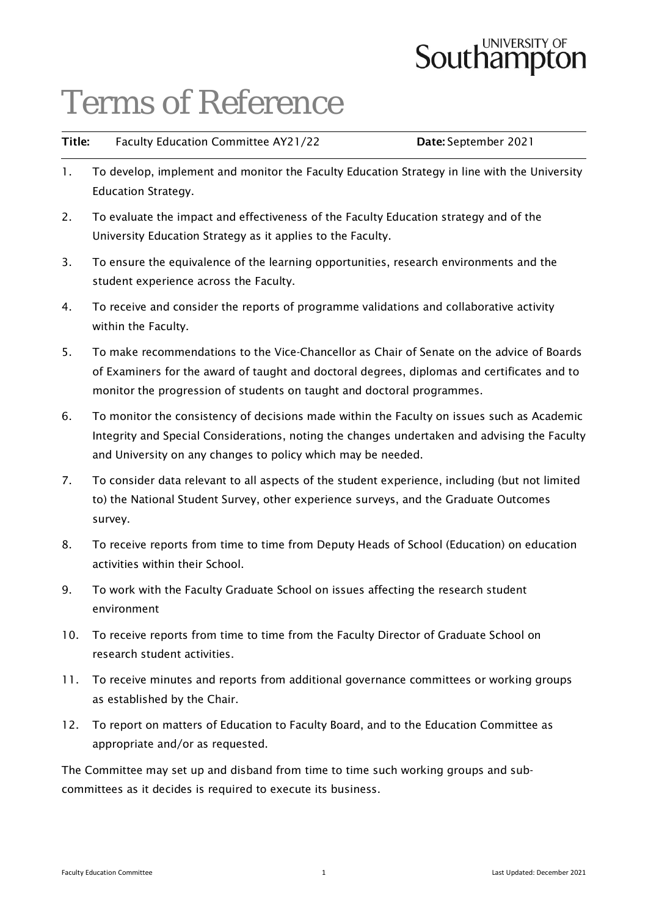# **Southampton**

# Terms of Reference

| Title: | Faculty Education Committee AY21/22 | Date: September 2021 |
|--------|-------------------------------------|----------------------|
|        |                                     |                      |

- 1. To develop, implement and monitor the Faculty Education Strategy in line with the University Education Strategy.
- 2. To evaluate the impact and effectiveness of the Faculty Education strategy and of the University Education Strategy as it applies to the Faculty.
- 3. To ensure the equivalence of the learning opportunities, research environments and the student experience across the Faculty.
- 4. To receive and consider the reports of programme validations and collaborative activity within the Faculty.
- 5. To make recommendations to the Vice-Chancellor as Chair of Senate on the advice of Boards of Examiners for the award of taught and doctoral degrees, diplomas and certificates and to monitor the progression of students on taught and doctoral programmes.
- 6. To monitor the consistency of decisions made within the Faculty on issues such as Academic Integrity and Special Considerations, noting the changes undertaken and advising the Faculty and University on any changes to policy which may be needed.
- 7. To consider data relevant to all aspects of the student experience, including (but not limited to) the National Student Survey, other experience surveys, and the Graduate Outcomes survey.
- 8. To receive reports from time to time from Deputy Heads of School (Education) on education activities within their School.
- 9. To work with the Faculty Graduate School on issues affecting the research student environment
- 10. To receive reports from time to time from the Faculty Director of Graduate School on research student activities.
- 11. To receive minutes and reports from additional governance committees or working groups as established by the Chair.
- 12. To report on matters of Education to Faculty Board, and to the Education Committee as appropriate and/or as requested.

The Committee may set up and disband from time to time such working groups and subcommittees as it decides is required to execute its business.